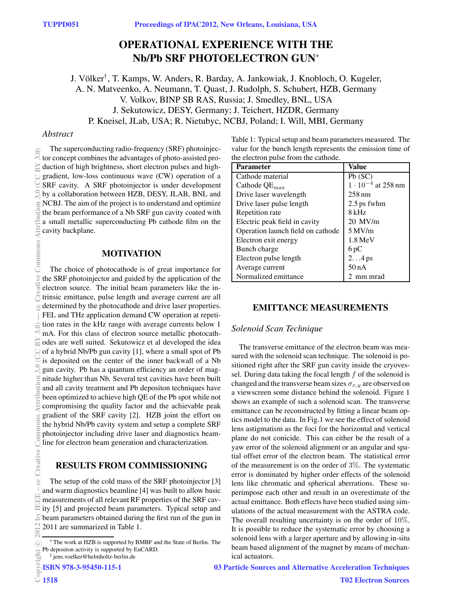# **OPERATIONAL EXPERIENCE WITH THE Nb/Pb SRF PHOTOELECTRON GUN**<sup>∗</sup>

J. Völker<sup>†</sup>, T. Kamps, W. Anders, R. Barday, A. Jankowiak, J. Knobloch, O. Kugeler, A. N. Matveenko, A. Neumann, T. Quast, J. Rudolph, S. Schubert, HZB, Germany V. Volkov, BINP SB RAS, Russia; J. Smedley, BNL, USA J. Sekutowicz, DESY, Germany; J. Teichert, HZDR, Germany P. Kneisel, JLab, USA; R. Nietubyc, NCBJ, Poland; I. Will, MBI, Germany

### *Abstract*

The superconducting radio-frequency (SRF) photoinjector concept combines the advantages of photo-assisted production of high brightness, short electron pulses and highgradient, low-loss continuous wave (CW) operation of a SRF cavity. A SRF photoinjector is under development by a collaboration between HZB, DESY, JLAB, BNL and NCBJ. The aim of the project is to understand and optimize the beam performance of a Nb SRF gun cavity coated with a small metallic superconducting Pb cathode film on the cavity backplane.

## **MOTIVATION**

The choice of photocathode is of great importance for the SRF photoinjector and guided by the application of the electron source. The initial beam parameters like the intrinsic emittance, pulse length and average current are all determined by the photocathode and drive laser properties. FEL and THz application demand CW operation at repetition rates in the kHz range with average currents below 1 mA. For this class of electron source metallic photocathodes are well suited. Sekutowicz et al developed the idea of a hybrid Nb/Pb gun cavity [1], where a small spot of Pb is deposited on the center of the inner backwall of a Nb gun cavity. Pb has a quantum efficiency an order of magnitude higher than Nb. Several test cavities have been built and all cavity treatment and Pb depositon techniques have been optimized to achieve high QE of the Pb spot while not compromising the quality factor and the achievable peak gradient of the SRF cavity [2]. HZB joint the effort on the hybrid Nb/Pb cavity system and setup a complete SRF photoinjector including drive laser and diagnostics beamline for electron beam generation and characterization. (0)\$ AMDOO 0.6 monumental definition 3.0 (CCReative Common state Common state Common state Common state Common<br>
3.0 (CCC BY 3.0) Dia a Care Common State Common State Common State Common State Common State Common State Co

## **RESULTS FROM COMMISSIONING**

The setup of the cold mass of the SRF photoinjector [3] and warm diagnostics beamline [4] was built to allow basic measurements of all relevant RF properties of the SRF cavity [5] and projected beam parameters. Typical setup and beam parameters obtained during the first run of the gun in 2011 are summarized in Table 1.

```
† jens.voelker@helmholtz-berlin.de
```
ISBN 978-3-95450-115-1

Table 1: Typical setup and beam parameters measured. The value for the bunch length represents the emission time of the electron pulse from the cathode.

| <b>Parameter</b>                  | Value                       |
|-----------------------------------|-----------------------------|
| Cathode material                  | Pb(SC)                      |
| Cathode $QE_{\text{max}}$         | $1 \cdot 10^{-4}$ at 258 nm |
| Drive laser wavelength            | $258 \text{ nm}$            |
| Drive laser pulse length          | 2.5 ps fwhm                 |
| Repetition rate                   | 8 kHz                       |
| Electric peak field in cavity     | $20$ MV/m                   |
| Operation launch field on cathode | $5$ MV/m                    |
| Electron exit energy              | $1.8 \,\mathrm{MeV}$        |
| Bunch charge                      | 6 pC                        |
| Electron pulse length             | $2.4$ ps                    |
| Average current                   | 50nA                        |
| Normalized emittance              | 2 mm mrad                   |

## **EMITTANCE MEASUREMENTS**

## *Solenoid Scan Technique*

The transverse emittance of the electron beam was measured with the solenoid scan technique. The solenoid is positioned right after the SRF gun cavity inside the cryovessel. During data taking the focal length  $f$  of the solenoid is changed and the transverse beam sizes  $\sigma_{x,y}$  are observed on a viewscreen some distance behind the solenoid. Figure 1 shows an example of such a solenoid scan. The transverse emittance can be reconstructed by fitting a linear beam optics model to the data. In Fig.1 we see the effect of solenoid lens astigmatism as the foci for the horizontal and vertical plane do not conicide. This can either be the result of a yaw error of the solenoid alignment or an angular and spatial offset error of the electron beam. The statistical error of the measurement is on the order of 3%. The systematic error is dominated by higher order effects of the solenoid lens like chromatic and spherical aberrations. These superimpose each other and result in an overestimate of the actual emittance. Both effects have been studied using simulations of the actual measurement with the ASTRA code. The overall resulting uncertainty is on the order of 10%. It is possible to reduce the systematic error by choosing a solenoid lens with a larger aperture and by allowing in-situ beam based alignment of the magnet by means of mechanical actuators.

03 Particle Sources and Alternative Acceleration Techniques

<sup>∗</sup> The work at HZB is supported by BMBF and the State of Berlin. The Pb depositon activity is supported by EuCARD.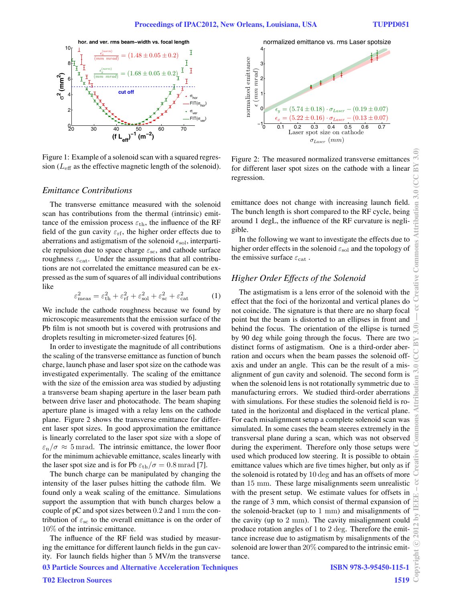

Figure 1: Example of a solenoid scan with a squared regression ( $L_{\text{eff}}$  as the effective magnetic length of the solenoid).

#### *Emittance Contributions*

The transverse emittance measured with the solenoid scan has contributions from the thermal (intrinsic) emittance of the emission process  $\varepsilon_{\text{th}}$ , the influence of the RF field of the gun cavity  $\varepsilon_{\text{rf}}$ , the higher order effects due to aberrations and astigmatism of the solenoid  $\epsilon_{sol}$ , interparticle repulsion due to space charge  $\varepsilon_{\rm sc}$ , and cathode surface roughness  $\varepsilon_{\text{cat}}$ . Under the assumptions that all contributions are not correlated the emittance measured can be expressed as the sum of squares of all individual contributions like

$$
\varepsilon_{\text{meas}}^2 = \varepsilon_{\text{th}}^2 + \varepsilon_{\text{rf}}^2 + \varepsilon_{\text{sol}}^2 + \varepsilon_{\text{sc}}^2 + \varepsilon_{\text{cat}}^2 \tag{1}
$$

We include the cathode roughness because we found by microscopic measurements that the emission surface of the Pb film is not smooth but is covered with protrusions and droplets resulting in micrometer-sized features [6].

In order to investigate the magnitude of all contributions the scaling of the transverse emittance as function of bunch charge, launch phase and laser spot size on the cathode was investigated experimentally. The scaling of the emittance with the size of the emission area was studied by adjusting a transverse beam shaping aperture in the laser beam path between drive laser and photocathode. The beam shaping aperture plane is imaged with a relay lens on the cathode plane. Figure 2 shows the transverse emittance for different laser spot sizes. In good approximation the emittance is linearly correlated to the laser spot size with a slope of  $\varepsilon_n/\sigma \approx 5$  mrad. The intrinsic emittance, the lower floor for the minimum achievable emittance, scales linearly with the laser spot size and is for Pb  $\varepsilon_{\text{th}}/\sigma = 0.8$  mrad [7].

The bunch charge can be manipulated by changing the intensity of the laser pulses hitting the cathode film. We found only a weak scaling of the emittance. Simulations support the assumption that with bunch charges below a couple of pC and spot sizes between 0.2 and 1 mm the contribution of  $\varepsilon_{\rm sc}$  to the overall emittance is on the order of 10% of the intrinsic emittance.

The influence of the RF field was studied by measuring the emittance for different launch fields in the gun cavity. For launch fields higher than 5 MV/m the transverse 03 Particle Sources and Alternative Acceleration Techniques



Figure 2: The measured normalized transverse emittances for different laser spot sizes on the cathode with a linear regression.

emittance does not change with increasing launch field. The bunch length is short compared to the RF cycle, being around 1 degL, the influence of the RF curvature is negligible.

In the following we want to investigate the effects due to higher order effects in the solenoid  $\varepsilon_{\text{sol}}$  and the topology of the emissive surface  $\varepsilon_{\rm cat}$ .

## *Higher Order Effects of the Solenoid*

The astigmatism is a lens error of the solenoid with the effect that the foci of the horizontal and vertical planes do not coincide. The signature is that there are no sharp focal point but the beam is distorted to an ellipses in front and behind the focus. The orientation of the ellipse is turned by 90 deg while going through the focus. There are two distinct forms of astigmatism. One is a third-order aberration and occurs when the beam passes the solenoid offaxis and under an angle. This can be the result of a misalignment of gun cavity and solenoid. The second form is when the solenoid lens is not rotationally symmetric due to manufacturing errors. We studied third-order aberrations with simulations. For these studies the solenoid field is rotated in the horizontal and displaced in the vertical plane. For each misalignment setup a complete solenoid scan was simulated. In some cases the beam steeres extremely in the transversal plane during a scan, which was not observed during the experiment. Therefore only those setups were used which produced low steering. It is possible to obtain emittance values which are five times higher, but only as if the solenoid is rotated by 10 deg and has an offsets of more than 15 mm. These large misalignments seem unrealistic with the present setup. We estimate values for offsets in the range of 3 mm, which consist of thermal expansion of the solenoid-bracket (up to 1 mm) and misalignments of the cavity (up to 2 mm). The cavity misalignment could produce rotation angles of 1 to 2 deg. Therefore the emittance increase due to astigmatism by misalignments of the solenoid are lower than 20% compared to the intrinsic emittance.